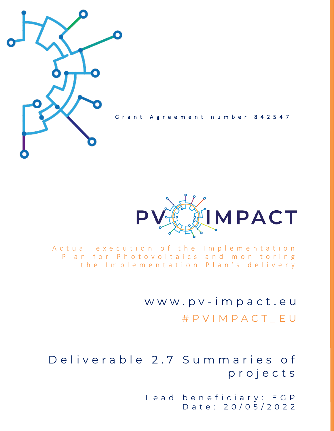

Grant Agreement number 842547



A c t u a l e x e c u t i o n o f the Implementation Plan for Photovoltaics and monitoring the Implementation Plan's delivery

> w w w . p v - i m p a c t . e u # P V I M P A C T \_ E U

Deliverable 2.7 Summaries of p r o j e c t s

> Lead beneficiary: EGP D a t e : 2 0 / 0 5 / 2 0 2 2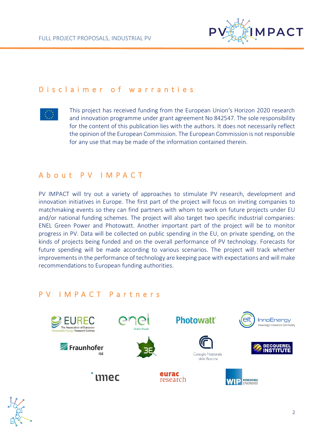

## D is claimer of warranties



This project has received funding from the European Union's Horizon 2020 research and innovation programme under grant agreement No 842547. The sole responsibility for the content of this publication lies with the authors. It does not necessarily reflect the opinion of the European Commission. The European Commission is not responsible for any use that may be made of the information contained therein.

# A b o u t P V I M P A C T

PV IMPACT will try out a variety of approaches to stimulate PV research, development and innovation initiatives in Europe. The first part of the project will focus on inviting companies to matchmaking events so they can find partners with whom to work on future projects under EU and/or national funding schemes. The project will also target two specific industrial companies: ENEL Green Power and Photowatt. Another important part of the project will be to monitor progress in PV. Data will be collected on public spending in the EU, on private spending, on the kinds of projects being funded and on the overall performance of PV technology. Forecasts for future spending will be made according to various scenarios. The project will track whether improvements in the performance of technology are keeping pace with expectations and will make recommendations to European funding authorities.

# P V I M P A C T P a r t n e r s



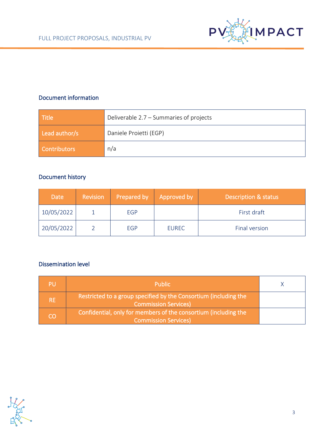

## Document information

| <b>Title</b>  | Deliverable 2.7 - Summaries of projects |  |
|---------------|-----------------------------------------|--|
| Lead author/s | Daniele Proietti (EGP)                  |  |
| Contributors  | n/a                                     |  |

### Document history

| <b>Date</b> | <b>Revision</b> | Prepared by | Approved by  | <b>Description &amp; status</b> |
|-------------|-----------------|-------------|--------------|---------------------------------|
| 10/05/2022  |                 | EGP         |              | First draft                     |
| 20/05/2022  |                 | <b>EGP</b>  | <b>EUREC</b> | Final version                   |

### Dissemination level

|           | <b>Public</b>                                                                                   |  |
|-----------|-------------------------------------------------------------------------------------------------|--|
| <b>RE</b> | Restricted to a group specified by the Consortium (including the<br><b>Commission Services)</b> |  |
| CO        | Confidential, only for members of the consortium (including the<br><b>Commission Services)</b>  |  |

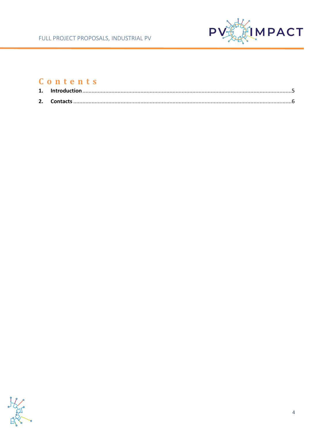

# Contents

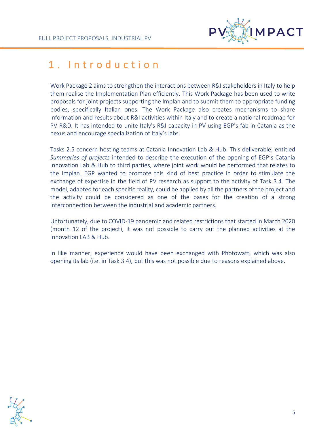

# <span id="page-4-0"></span>1. Introduction

Work Package 2 aims to strengthen the interactions between R&I stakeholders in Italy to help them realise the Implementation Plan efficiently. This Work Package has been used to write proposals for joint projects supporting the Implan and to submit them to appropriate funding bodies, specifically Italian ones. The Work Package also creates mechanisms to share information and results about R&I activities within Italy and to create a national roadmap for PV R&D. It has intended to unite Italy's R&I capacity in PV using EGP's fab in Catania as the nexus and encourage specialization of Italy's labs.

Tasks 2.5 concern hosting teams at Catania Innovation Lab & Hub. This deliverable, entitled *Summaries of projects* intended to describe the execution of the opening of EGP's Catania Innovation Lab & Hub to third parties, where joint work would be performed that relates to the Implan. EGP wanted to promote this kind of best practice in order to stimulate the exchange of expertise in the field of PV research as support to the activity of Task 3.4. The model, adapted for each specific reality, could be applied by all the partners of the project and the activity could be considered as one of the bases for the creation of a strong interconnection between the industrial and academic partners.

Unfortunately, due to COVID-19 pandemic and related restrictions that started in March 2020 (month 12 of the project), it was not possible to carry out the planned activities at the Innovation LAB & Hub.

In like manner, experience would have been exchanged with Photowatt, which was also opening its lab (i.e. in Task 3.4), but this was not possible due to reasons explained above.